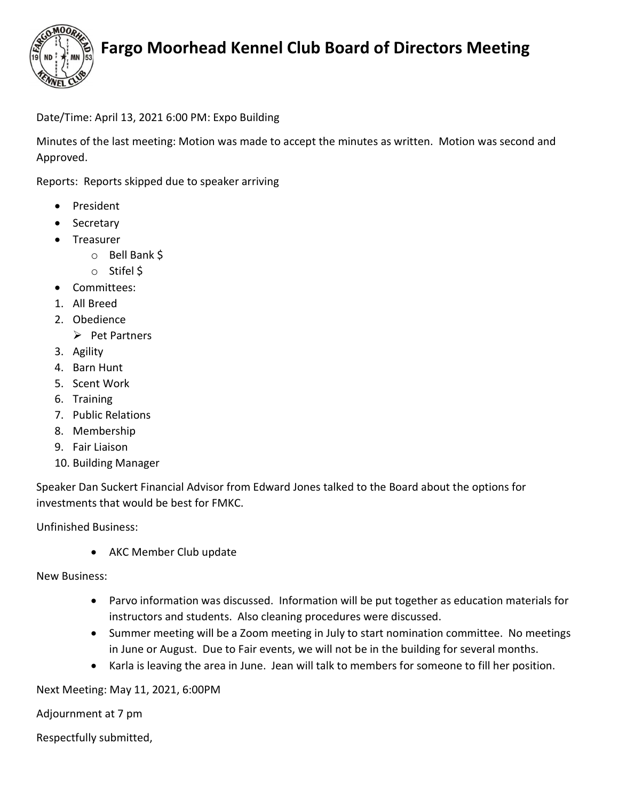

## Fargo Moorhead Kennel Club Board of Directors Meeting

## Date/Time: April 13, 2021 6:00 PM: Expo Building

Minutes of the last meeting: Motion was made to accept the minutes as written. Motion was second and Approved.

Reports: Reports skipped due to speaker arriving

- President
- Secretary
- Treasurer
	- o Bell Bank \$
	- o Stifel \$
- Committees:
- 1. All Breed
- 2. Obedience
	- $\triangleright$  Pet Partners
- 3. Agility
- 4. Barn Hunt
- 5. Scent Work
- 6. Training
- 7. Public Relations
- 8. Membership
- 9. Fair Liaison
- 10. Building Manager

Speaker Dan Suckert Financial Advisor from Edward Jones talked to the Board about the options for investments that would be best for FMKC.

Unfinished Business:

• AKC Member Club update

New Business:

- Parvo information was discussed. Information will be put together as education materials for instructors and students. Also cleaning procedures were discussed.
- Summer meeting will be a Zoom meeting in July to start nomination committee. No meetings in June or August. Due to Fair events, we will not be in the building for several months.
- Karla is leaving the area in June. Jean will talk to members for someone to fill her position.

Next Meeting: May 11, 2021, 6:00PM

Adjournment at 7 pm

Respectfully submitted,